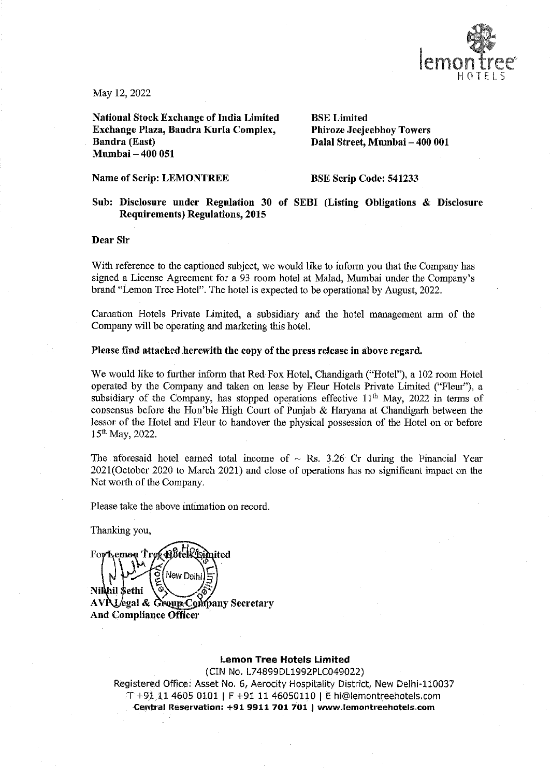

May 12, 2022

National Stock Exchange of India Limited BSE Limited Exchange Plaza, Bandra Kurla Complex, Phiroze Jeejeebhoy Towers Bandra (East) Dalal Street, Mumbai — 400 001 Mumbai — 400 051

## Name of Scrip: LEMONTREE BSE Scrip Code: 541233

# Sub: Disclosure under Regulation 30 of SEBI (Listing Obligations & Disclosure Requirements) Regulations, 2015

Dear Sir

With reference to the captioned subject, we would like to inform you that the Company has signed a License Agreement for a 93 room hotel at Malad, Mumbai under the Company's brand "Lemon Tree Hotel". The hotel is expected to be operational by August, 2022.

Carnation Hotels Private Limited, a subsidiary and the hotel management arm of the Company will be operating and marketing this hotel.

#### Please find attached herewith the copy of the press release in above regard.

We would like to further inform that Red Fox Hotel, Chandigarh ("Hotel"), a 102 room Hotel operated by the Cormpany and taken on lease by Fleur Hotels Private Limited ("Fleur"), a subsidiary of the Company, has stopped operations effective  $11<sup>th</sup>$  May, 2022 in terms of consensus before the Hon'ble High Court of Punjab & Haryana at Chandigarh between the lessor of the Hotel and Fleur to handover the physical possession of the Hotel on or before 15th May, 2022.

The aforesaid hotel earned total income of  $\sim$  Rs. 3.26 Cr during the Financial Year 2021(October 2020 to March 2021) and close of operations has no significant impact on the Net worth of the Company.

Please take the above intimation on record.

Thanking you,

**B**tektniited For Lemon Tree New Deth Nikhil Sethi And Compliance Officer

## Lemon Tree Hotels Limited

com<br>**om**<br>**om** AVRI/egal & Group<br>And Compliance Office<br>Registered Office<br> $T + 911146$ <br>Central Res (CIN No. L74899DL1992PLC049022) Registered Office: Asset No. 6, Aerocity Hospitality District, New Delhi-110037 T+9i 11-4605 0101 | F +91 11 46050110 | E hi@lemontreehotels.com Central Reservation: +91 9911 701 701 | www.liemontreehotels.com